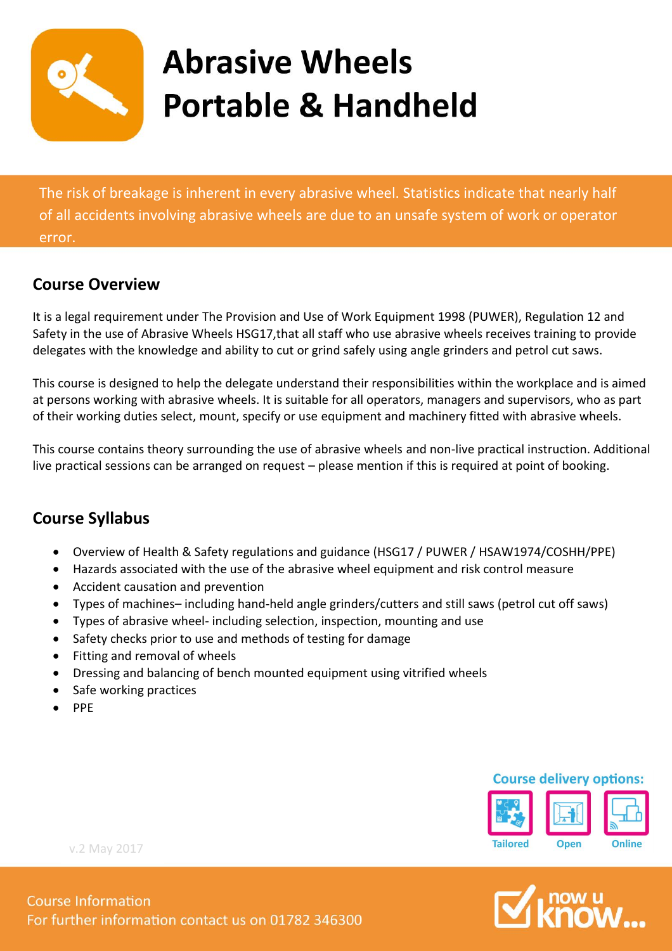

# **Abrasive Wheels Portable & Handheld**

The risk of breakage is inherent in every abrasive wheel. Statistics indicate that nearly half of all accidents involving abrasive wheels are due to an unsafe system of work or operator error.

### **Course Overview**

It is a legal requirement under The Provision and Use of Work Equipment 1998 (PUWER), Regulation 12 and Safety in the use of Abrasive Wheels HSG17,that all staff who use abrasive wheels receives training to provide delegates with the knowledge and ability to cut or grind safely using angle grinders and petrol cut saws.

This course is designed to help the delegate understand their responsibilities within the workplace and is aimed at persons working with abrasive wheels. It is suitable for all operators, managers and supervisors, who as part of their working duties select, mount, specify or use equipment and machinery fitted with abrasive wheels.

This course contains theory surrounding the use of abrasive wheels and non-live practical instruction. Additional live practical sessions can be arranged on request – please mention if this is required at point of booking.

### **Course Syllabus**

- Overview of Health & Safety regulations and guidance (HSG17 / PUWER / HSAW1974/COSHH/PPE)
- Hazards associated with the use of the abrasive wheel equipment and risk control measure
- Accident causation and prevention
- Types of machines– including hand-held angle grinders/cutters and still saws (petrol cut off saws)
- Types of abrasive wheel- including selection, inspection, mounting and use
- Safety checks prior to use and methods of testing for damage
- Fitting and removal of wheels
- Dressing and balancing of bench mounted equipment using vitrified wheels
- Safe working practices
- PPE

#### **Course delivery options:**



now u<br>**CMOM** 

For further information contact us on 01782 346300

v.2 May 2017

**Course Information**